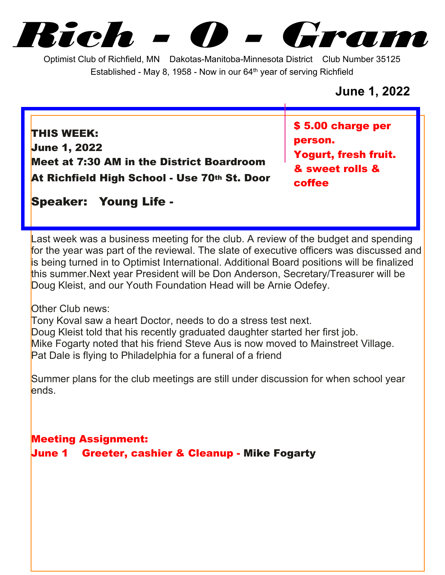*Rich - O - Gram*

Optimist Club of Richfield, MN Dakotas-Manitoba-Minnesota District Club Number 35125 Established - May 8, 1958 - Now in our  $64<sup>th</sup>$  year of serving Richfield

## **June 1, 2022**

**THIS WEEK: June 1, 2022 Meet at 7:30 AM in the District Boardroom At Richfield High School - Use 70th St. Door** **\$ 5.00 charge per person. Yogurt, fresh fruit. & sweet rolls & coffee**

**Speaker: Young Life -**

Last week was a business meeting for the club. A review of the budget and spending for the year was part of the reviewal. The slate of executive officers was discussed and is being turned in to Optimist International. Additional Board positions will be finalized this summer.Next year President will be Don Anderson, Secretary/Treasurer will be Doug Kleist, and our Youth Foundation Head will be Arnie Odefey.

Other Club news:

Tony Koval saw a heart Doctor, needs to do a stress test next. Doug Kleist told that his recently graduated daughter started her first job. Mike Fogarty noted that his friend Steve Aus is now moved to Mainstreet Village. Pat Dale is flying to Philadelphia for a funeral of a friend

Summer plans for the club meetings are still under discussion for when school year ends.

**Meeting Assignment:**

**June 1 Greeter, cashier & Cleanup - Mike Fogarty**